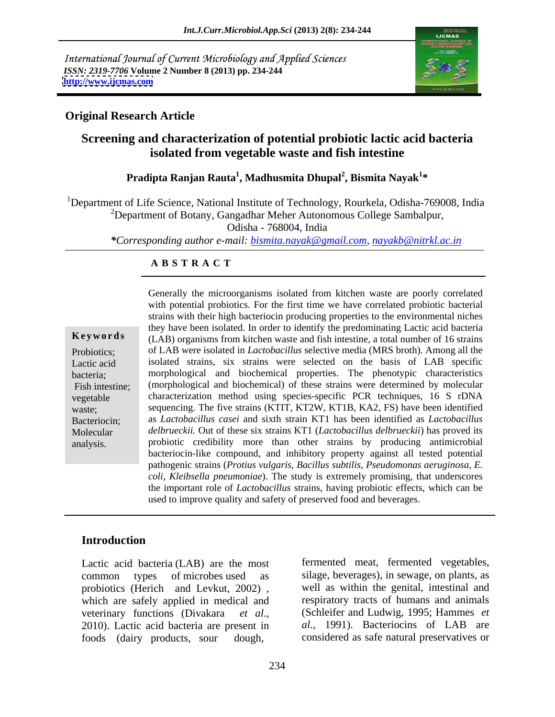International Journal of Current Microbiology and Applied Sciences *ISSN: 2319-7706* **Volume 2 Number 8 (2013) pp. 234-244 <http://www.ijcmas.com>**



## **Original Research Article**

## **Screening and characterization of potential probiotic lactic acid bacteria isolated from vegetable waste and fish intestine**

## **Pradipta Ranjan Rauta<sup>1</sup> , Madhusmita Dhupal<sup>2</sup> , Bismita Nayak<sup>1</sup> \***

<sup>1</sup>Department of Life Science, National Institute of Technology, Rourkela, Odisha-769008, India  $2$ Department of Botany, Gangadhar Meher Autonomous College Sambalpur,

Odisha - 768004, India

*\*Corresponding author e-mail: bismita.nayak@gmail.com, nayakb@nitrkl.ac.in*

## **A B S T R A C T**

**Keywords** (LAB) organisms from kitchen waste and fish intestine, a total number of 16 strains Probiotics; of LAB were isolated in *Lactobacillus* selective media (MRS broth). Among all the Lactic acid isolated strains, six strains were selected on the basis of LAB specific bacteria; morphological and biochemical properties.The phenotypic characteristics Fish intestine; (morphological and biochemical) of these strains were determined by molecular vegetable characterization method using species-specific PCR techniques, 16 S rDNA waste; sequencing. The five strains (KTIT, KT2W, KT1B, KA2, FS) have been identified Bacteriocin; as *Lactobacillus casei* and sixth strain KT1 has been identified as *Lactobacillus*  Molecular *delbrueckii.* Out of these six strains KT1 (*Lactobacillus delbrueckii*) has proved its Generally the microorganisms isolated from kitchen waste are poorly correlated<br>with potential probiotics. For the first time we have correlated probiotic bacterial<br>strains with their high bacteroicon producing properties t with potential probiotics. For the first time we have correlated probiotic bacterial strains with their high bacteriocin producing properties to the environmental niches they have been isolated. In order to identify the predominating Lactic acid bacteria probiotic credibility more than other strains by producing antimicrobial bacteriocin-like compound, and inhibitory property against all tested potential pathogenic strains (*Protius vulgaris, Bacillus subtilis, Pseudomonas aeruginosa, E. coli, Kleibsella pneumoniae*). The study is extremely promising, that underscores the important role of *Lactobacillus* strains, having probiotic effects, which can be used to improve quality and safety of preserved food and beverages.

## **Introduction**

Lactic acid bacteria (LAB) are the most foods (dairy products, sour dough, considered as safe natural preservatives or

common types of microbes used as silage, beverages), in sewage, on plants, as probiotics (Herich and Levkut, 2002), well as within the genital, intestinal and which are safely applied in medical and respiratory tracts of humans and animals veterinary functions (Divakara *et al.*, (Schleifer and Ludwig, 1995; Hammes *et*<br>2010). Lactic acid bacteria are present in *al.*, 1991). Bacteriocins of LAB are fermented meat, fermented vegetables, well as within the genital, intestinal and respiratory tracts of humans and animals (Schleifer and Ludwig, 1995; Hammes *et al*., 1991). Bacteriocins of LAB are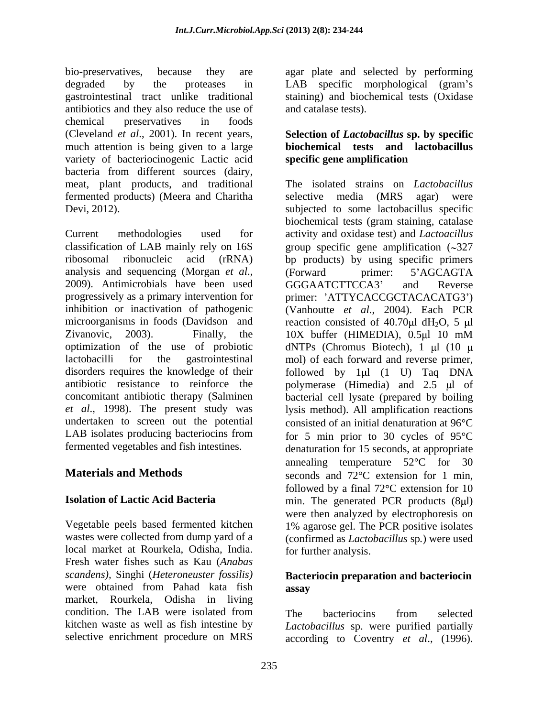bio-preservatives, because they are agar plate and selected by performing degraded by the proteases in LAB specific morphological (gram's gastrointestinal tract unlike traditional staining) and biochemical tests (Oxidase antibiotics and they also reduce the use of chemical preservatives in foods (Cleveland *et al*., 2001).In recent years, **Selection of** *Lactobacillus* **sp. by specific** much attention is being given to a large **biochemical tests and lactobacillus** variety of bacteriocinogenic Lactic acid bacteria from different sources (dairy, meat, plant products, and traditional fermented products) (Meera and Charitha Devi, 2012). subjected to some lactobacillus specific

Current methodologies used for activity and oxidase test) and *Lactoacillus* classification of LAB mainly rely on 16S ribosomal ribonucleic acid (rRNA) bp products) by using specific primers analysis and sequencing (Morgan *et al.*, (Forward primer: 5'AGCAGTA<br>2009). Antimicrobials have been used GGGAATCTTCCA3' and Reverse progressively as a primary intervention for primer: 'ATTYCACCGCTACACATG3') inhibition or inactivation of pathogenic (Vanhoutte et al., 2004). Each PCR microorganisms in foods (Davidson and reaction consisted of 40.70 $\mu$ l dH<sub>2</sub>O, 5  $\mu$ l Zivanovic, 2003). Finally, the 10X buffer (HIMEDIA), 0.5 ul 10 mM optimization of the use of probiotic dNTPs (Chromus Biotech), 1  $\mu$ l (10  $\mu$ lactobacilli for the gastrointestinal mol) of each forward and reverse primer, disorders requires the knowledge of their followed by 1µl (1 U) Taq DNA antibiotic resistance to reinforce the  $\qquad$  polymerase (Himedia) and 2.5  $\mu$ l of concomitant antibiotic therapy (Salminen bacterial cell lysate (prepared by boiling *et al*., 1998). The present study was undertaken to screen out the potential consisted of an initial denaturation at 96 °C LAB isolates producing bacteriocins from  $\qquad$  for 5 min prior to 30 cycles of 95 $\degree$ C

local market at Rourkela, Odisha, India. Fresh water fishes such as Kau (*Anabas scandens),* Singhi (*Heteroneuster fossilis)* were obtained from Pahad kata fish assay market, Rourkela, Odisha in living condition. The LAB were isolated from The bacteriocins from selected

LAB specific morphological (gram's and catalase tests).

# **specific gene amplification**

fermented vegetables and fish intestines. denaturation for 15 seconds, at appropriate **Materials and Methods** seconds and  $72^{\circ}$ C extension for 1 min, **Isolation of Lactic Acid Bacteria** min. The generated PCR products (8µl) Vegetable peels based fermented kitchen 1% agarose gel. The PCR positive isolates wastes were collected from dump yard of a (confirmed as *Lactobacillus* sp*.*) were used The isolated strains on *Lactobacillus*  selective media (MRS agar) were biochemical tests (gram staining, catalase group specific gene amplification  $(\sim 327)$ (Forward primer: 5 AGCAGTA GGGAATCTTCCA3 and Reverse primer: 'ATTYCACCGCTACACATG3')<br>(Vanhoutte *et al*., 2004). Each PCR 10X buffer (HIMEDIA), 0.5µl 10 mM lysis method). All amplification reactions annealing temperature  $52^{\circ}$ C for 30 followed by a final  $72^{\circ}$ C extension for 10 were then analyzed by electrophoresis on for further analysis.

## **Bacteriocin preparation and bacteriocin assay**

kitchen waste as well as fish intestine by *Lactobacillus* sp. were purified partially selective enrichment procedure on MRS according to Coventry *et al*., (1996). The bacteriocins from selected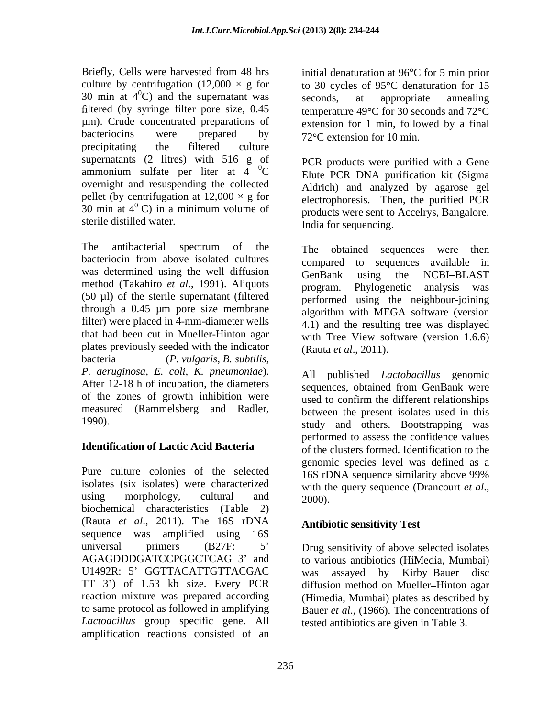Briefly, Cells were harvested from 48 hrs initial denaturation at 96°C for 5 min prior culture by centrifugation (12,000  $\times$  g for to 30 cycles of 95 °C denaturation for 15 30 min at  $4^{\circ}$ C) and the supernatant was seconds, at appropriate annealing µm). Crude concentrated preparations of extension for 1 min, followed by a final bacteriocins were prepared by  $72^{\circ}$ C extension for 10 min precipitating the filtered culture supernatants (2 litres) with 516 g of ammonium sulfate per liter at  $4 \text{ }^0\text{C}$ overnight and resuspending the collected pellet (by centrifugation at  $12,000 \times g$  for 30 min at  $4^{\circ}$  C) in a minimum volume of

The antibacterial spectrum of the The obtained sequences were then bacteriocin from above isolated cultures compared to sequences available in was determined using the well diffusion GenBank using the NCBI-BLAST method (Takahiro *et al.*, 1991). Aliquots program. Phylogenetic analysis was (50 µl) of the sterile supernatant (filtered through a 0.45 µm pore size membrane filter) were placed in 4-mm-diameter wells that had been cut in Mueller-Hinton agar plates previously seeded with the indicator (Rauta et al., 2011). bacteria (*P. vulgaris, B. subtilis, P. aeruginosa, E. coli, K. pneumoniae*). After 12-18 h of incubation, the diameters sequences, obtained from GenBank were of the zones of growth inhibition were measured (Rammelsberg and Radler, 1990).

Pure culture colonies of the selected  $\overline{16S}$  rDNA sequence similarity above 99% isolates (six isolates) were characterized with the query sequence (Drancourt et al., biochemical characteristics (Table 2) (Rauta *et al*., 2011). The 16S rDNA sequence was amplified using 16S universal primers (B27F: 5 Drug sensitivity of above selected isolates AGAGDDDGATCCPGGCTCAG 3 and to various antibiotics (HiMedia, Mumbai) U1492R: 5' GGTTACATTGTTACGAC was TT 3<sup>2</sup>) of 1.53 kb size. Every PCR diffusion method on Mueller–Hinton agar reaction mixture was prepared according (Himedia, Mumbai) plates as described by to same protocol as followed in amplifying Bauer *et al*., (1966).The concentrations of *Lactoacillus* group specific gene. All amplification reactions consisted of an

ltered (by syringe filter pore size,  $0.45$  temperature 49 $\degree$ C for 30 seconds and 72 $\degree$ C seconds, at appropriate annealing 72 °C extension for 10 min.

<sup>0</sup>C Elute PCR DNA purification kit (Sigma  $\sigma^0$  C) in a minimum volume of  $\sigma^0$  roducts were sent to Accelrys. Bangalore sterile distilled water.<br>
India for sequencing. PCR products were purified with a Gene Aldrich) and analyzed by agarose gel electrophoresis. Then, the purified PCR products were sent to Accelrys, Bangalore,

> The obtained sequences were then compared to sequences available in GenBank using the NCBI-BLAST program. Phylogenetic analysis was performed using the neighbour-joining algorithm with MEGA software (version 4.1) and the resulting tree was displayed with Tree View software (version 1.6.6) (Rauta *et al*., 2011).

**Identification of Lactic Acid Bacteria** of the clusters formed. Identification to the using morphology, cultural and  $2000$ All published *Lactobacillus* genomic sequences, obtained from GenBank were used to confirm the different relationships between the present isolates used in this study and others. Bootstrapping was performed to assess the confidence values genomic species level was defined as a 16S rDNA sequence similarity above 99% with the query sequence (Drancourt *et al*., 2000).

## **Antibiotic sensitivity Test**

assayed by Kirby-Bauer disc tested antibiotics are given in Table 3.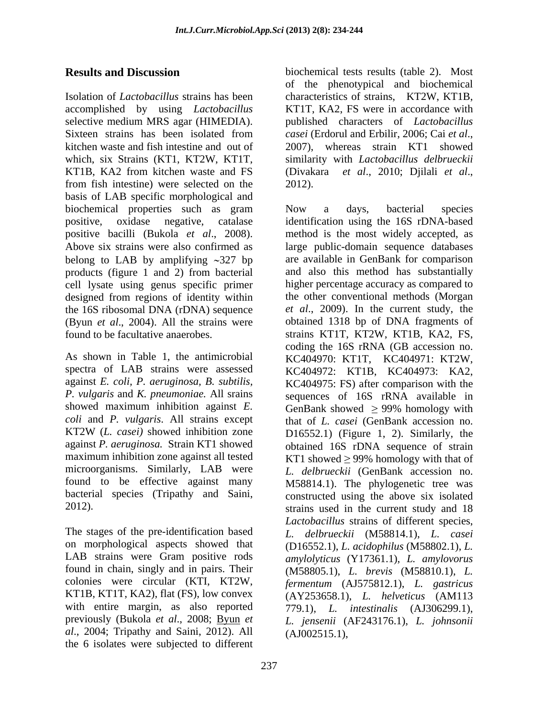Isolation of *Lactobacillus* strains has been characteristics of strains, KT2W, KT1B, accomplished by using *Lactobacillus* KT1T, KA2, FS were in accordance with selective medium MRS agar (HIMEDIA). Sixteen strains has been isolated from casei (Erdorul and Erbilir, 2006; Cai et al., kitchen waste and fish intestine and out of 2007), whereas strain KT1 showed which, six Strains (KT1, KT2W, KT1T, similarity with *Lactobacillus delbrueckii* KT1B, KA2 from kitchen waste and FS (Divakara et al., 2010; Diilali et al., from fish intestine) were selected on the basis of LAB specific morphological and biochemical properties such as gram Now a days, bacterial species products (figure 1 and 2) from bacterial cell lysate using genus specific primer designed from regions of identity within (Byun *et al.*, 2004). All the strains were found to be facultative anaerobes.

spectra of LAB strains were assessed against *E. coli, P. aeruginosa, B. subtilis, coli* and *P. vulgaris*. All strains except maximum inhibition zone against all tested  $KT1$  showed  $\geq$  99% homology with that of found to be effective against many

The stages of the pre-identification based on morphological aspects showed that KT1B, KT1T, KA2), flat (FS), low convex with entire margin, as also reported previously (Bukola *et al*., 2008; Byun *et al*., 2004; Tripathy and Saini, 2012). All the 6 isolates were subjected to different

**Results and Discussion** biochemical tests results (table 2). Most of the phenotypical and biochemical published characters of *Lactobacillus casei* (Erdorul and Erbilir, 2006; Cai *et al*., 2007), whereas strain KT1 showed (Divakara *et al*., 2010; Djilali *et al*., 2012). Now <sup>a</sup> days, bacterial species

positive, oxidase negative, catalase identification using the 16S rDNA-based positive bacilli (Bukola *et al.*, 2008). In method is the most widely accepted, as Above six strains were also confirmed as large public-domain sequence databases belong to LAB by amplifying  $\sim$ 327 bp are available in GenBank for comparison the 16S ribosomal DNA (rDNA) sequence *et al*., 2009). In the current study, the found to be facultative anaerobes.<br>
As shown in Table 1, the antimicrobial<br>
As shown in Table 1, the antimicrobial<br>
As shown in Table 1, the antimicrobial<br>
As shown in Table 1, the antimicrobial<br>
As shown in Table 1, the a *P. vulgaris* and *K. pneumoniae.* All srains sequences of 16S rRNA available in showed maximum inhibition against  $E$ . GenBank showed  $\geq$  99% homology with KT2W (*L. casei)* showed inhibition zone against *P. aeruginosa.* Strain KT1 showed obtained 16S rDNA sequence of strain microorganisms. Similarly, LAB were *L. delbrueckii* (GenBank accession no. bacterial species (Tripathy and Saini, constructed using the above six isolated 2012). strains used in the current study and 18 LAB strains were Gram positive rods *amylolyticus* (Y17361.1), *L. amylovorus* found in chain, singly and in pairs. Their (M58805.1), *L. brevis* (M58810.1), *L.*  colonies were circular (KTI, KT2W, *fermentum* (AJ575812.1), *L. gastricus* method is the most widely accepted, as large public-domain sequence databases and also this method has substantially higher percentage accuracy as compared to the other conventional methods (Morgan obtained 1318 bp of DNA fragments of strains KT1T, KT2W, KT1B, KA2, FS, coding the 16S rRNA (GB accession no. KC404970: KT1T, KC404971: KT2W, KC404972: KT1B, KC404973: KA2, KC404975: FS) after comparison with the that of *L. casei* (GenBank accession no. D16552.1) (Figure 1, 2). Similarly, the KT1 showed  $\geq$  99% homology with that of M58814.1). The phylogenetic tree was *Lactobacillus* strains of different species, *L. delbrueckii* (M58814.1), *L. casei* (D16552.1), *L. acidophilus* (M58802.1), *L.*  (AY253658.1), *L. helveticus* (AM113 779.1), *L. intestinalis* (AJ306299.1), *L. jensenii* (AF243176.1), *L. johnsonii* (AJ002515.1),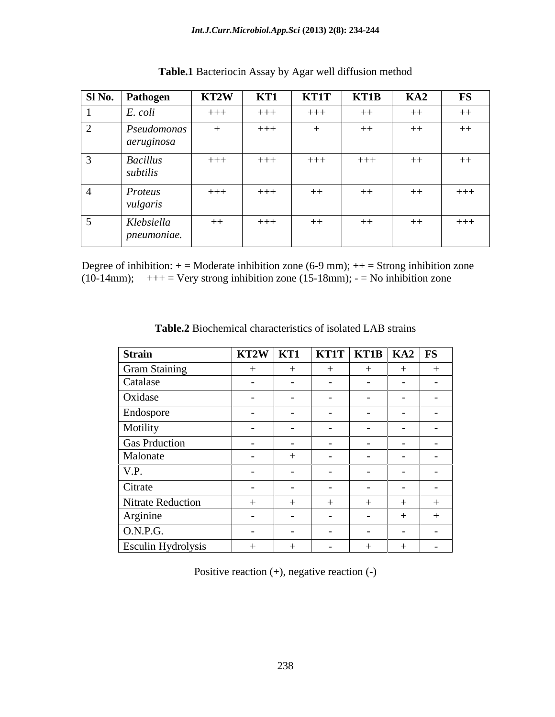| SI No. Pathogen    | KT2W  |       | <b>KT1</b> | <b>KT1T</b> | KT1B  | KA2  | FS    |
|--------------------|-------|-------|------------|-------------|-------|------|-------|
| $E. \text{ } coli$ | $+++$ |       | $+++$      | $+++$       | $++$  | $++$ | $++$  |
| Pseudomonas        |       |       | $+++$      |             | $++$  | $++$ | $++$  |
| aeruginosa         |       |       |            |             |       |      |       |
| <b>Bacillus</b>    |       | $+++$ | $+++$      | $+++$       | $+++$ | $++$ | $++$  |
| subtilis           |       |       |            |             |       |      |       |
| Proteus            | $+++$ |       | $+++$      | $++$        | $++$  | $++$ | $+++$ |
| vulgaris           |       |       |            |             |       |      |       |
| Klebsiella         |       | $-++$ | $+++$      | $++$        | $++$  | $++$ | $+++$ |
| pneumoniae.        |       |       |            |             |       |      |       |

**Table.1** Bacteriocin Assay by Agar well diffusion method

Degree of inhibition:  $+$  = Moderate inhibition zone (6-9 mm);  $++$  = Strong inhibition zone (10-14mm);  $++=$  Very strong inhibition zone (15-18mm);  $-$  = No inhibition zone

| Strain                    |               |  |               |  |
|---------------------------|---------------|--|---------------|--|
| Gram Staining<br>Catalase |               |  |               |  |
|                           |               |  |               |  |
| Oxidase                   |               |  | $\sim$ $\sim$ |  |
| Endospore                 | $\sim$ $\sim$ |  | $\sim$ $\sim$ |  |
| Motility                  |               |  |               |  |
| Gas Prduction<br>Malonate |               |  |               |  |
|                           |               |  |               |  |
| V.P.                      |               |  |               |  |
| Citrate                   |               |  |               |  |
| Nitrate Reduction         |               |  |               |  |
| Arginine                  | $\sim$ $\sim$ |  |               |  |
| O.N.P.G.                  |               |  |               |  |
| Esculin Hydrolysis        |               |  |               |  |

**Table.2** Biochemical characteristics of isolated LAB strains

Positive reaction (+), negative reaction (-)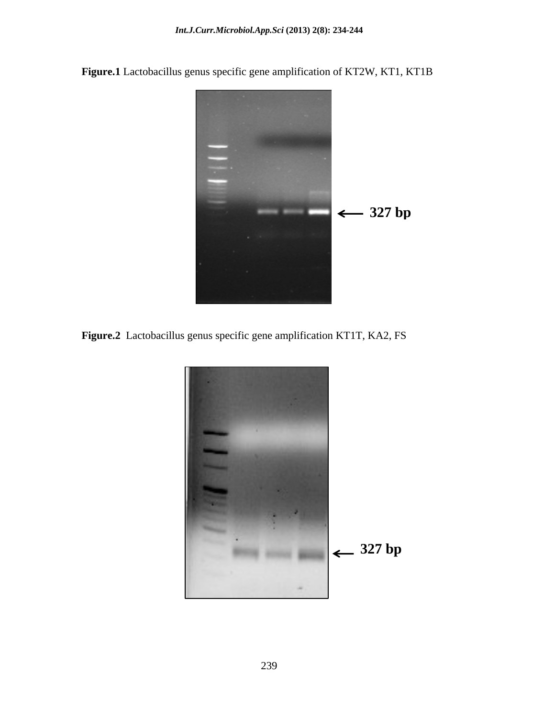

**Figure.1** Lactobacillus genus specific gene amplification of KT2W, KT1, KT1B

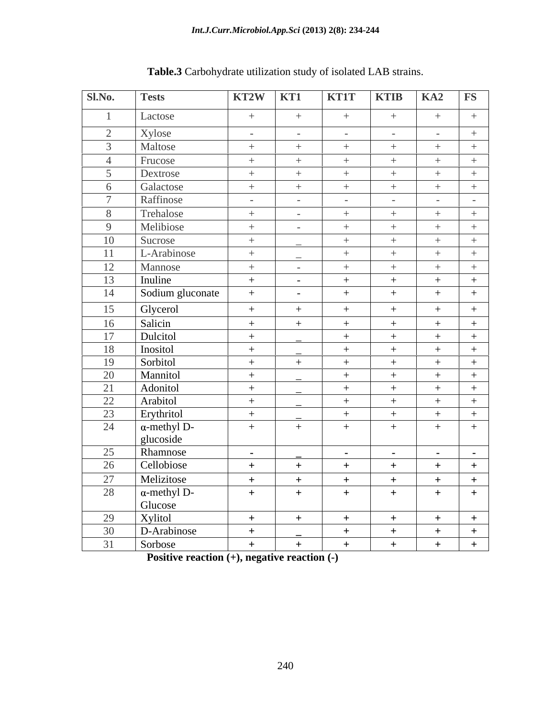| Sl.No. | <b>Tests</b>                     | KT2W KT1                       |                | <b>KT1T</b>              | <b>KTIB</b>          | $\overline{\mathbf{F}}$<br>K <sub>A2</sub> |
|--------|----------------------------------|--------------------------------|----------------|--------------------------|----------------------|--------------------------------------------|
|        | Lactose                          | $+$                            | $+$            | $+$                      | $+$                  | $+$                                        |
|        | Xylose                           | $\alpha$ - $\alpha$ - $\alpha$ | $\sim$ $-$     | $\sim 100$               | $\sim$ $ \sim$       | $+$<br>$\sim$ $ \sim$                      |
|        | Maltose                          | $+$                            | $+$            | $+$                      | $+$                  | $+$                                        |
|        | Frucose                          | $+$                            | $+$            | $+$                      | $+$                  | $+$<br>$+$                                 |
|        | Dextrose                         | $+$                            | $+$            | $+$                      | $+$                  | $+$<br>$+$                                 |
|        | Galactose                        | $+$                            | $+$            | $+$                      | $+$                  | $+$<br>$+$                                 |
|        | Raffinose                        | $\sim 1000$ km s $^{-1}$       | $\sim 100$     | $\sim$ $-$               | $\sim 100$ m $^{-1}$ |                                            |
|        | Trehalose                        | $+$ $-$                        | $\sim$ $-$     | $+$                      | $+$                  | $+$<br>$+$                                 |
|        | Melibiose                        | $+$                            | $\sim$ $ \sim$ | $+$                      | $+$                  | $+$<br>$+$                                 |
| 10     | Sucrose                          | $+$                            |                | $+$                      | $+$                  | $+$<br>$+$                                 |
| 11     | L-Arabinose                      | $+$                            |                | $+$                      | $+$                  | $+$<br>$+$                                 |
| 12     | Mannose                          | $+$                            | $\sim 100$     | $+$                      | $+$                  | $+$<br>$+$                                 |
| 13     | Inuline                          | $+$                            | $\sim$ $-$     | $+$                      | $+$                  | $+$<br>$+$                                 |
| 14     | Sodium gluconate                 | $+$                            | $\sim$         | $+$                      | $+$                  | $+$                                        |
| 15     | Glycerol                         | $+$                            | $+$            | $+$                      | $+$                  | $+$<br>$+$                                 |
| 16     | Salicin                          | $+$                            | $+$            | $+$                      | $+$                  | $+$<br>$+$                                 |
| 17     | Dulcitol                         | $+$                            |                | $+$                      | $+$                  | $+$<br>$+$                                 |
| 18     | Inositol                         | $+$                            |                | $+$                      | $+$                  | $+$<br>$+$                                 |
| 19     | Sorbitol                         | $+$                            | $+$            | $+$                      | $+$                  | $+$<br>$+$                                 |
| 20     | Mannitol                         | $+$                            |                | $+$                      | $+$                  | $+$<br>$+$                                 |
| 21     | Adonitol                         | $+$                            |                | $+$                      | $+$                  | $+$<br>$+$                                 |
| 22     | Arabitol                         | $+$                            |                | $+$                      | $+$                  | $+$                                        |
| 23     | Erythritol                       | $+$                            |                | $+$                      | $+$                  | $+$<br>$+$                                 |
| 24     | $\alpha$ -methyl D-<br>glucoside | $+$                            | $+$            | $+$                      | $+$                  | $+$<br>$+$                                 |
| 25     | Rhamnose                         | <b>Contract Contract</b>       |                | <b>Contract Contract</b> | $\sim 100$ m $^{-1}$ | $\sim 1000$ m $^{-1}$<br>$\sim 100$        |
| 26     | Cellobiose                       | $+$                            | $+$            | $+$                      | $+$                  | $+$<br>$+$                                 |
| 27     | Melizitose                       | $+$                            | $+$            | $+$                      | $+$                  | $+$<br>$+$                                 |
| 28     | $\alpha$ -methyl D-              | $+$                            | $+$            | $+$                      | $+$                  | $+$                                        |
|        | Glucose                          |                                |                |                          |                      |                                            |
| 29     | Xylitol                          | $+$                            | $+$            | $+$                      | $+$                  | $+$<br>$+$                                 |
| 30     | D-Arabinose                      | $+$                            |                | $+$                      | $+$                  | $+$<br>$+$                                 |
| 31     | Sorbose                          | $+$                            | $+$            | $+$                      | $+$                  | $+$<br>$+$                                 |

| Table.3<br>$\cdots$<br>of isolated<br>LAB strains.<br>arbohydrate<br>e utilizatior<br>ı studv<br>$\sim$ |  |  |
|---------------------------------------------------------------------------------------------------------|--|--|
|                                                                                                         |  |  |

**Positive reaction (+), negative reaction (-)**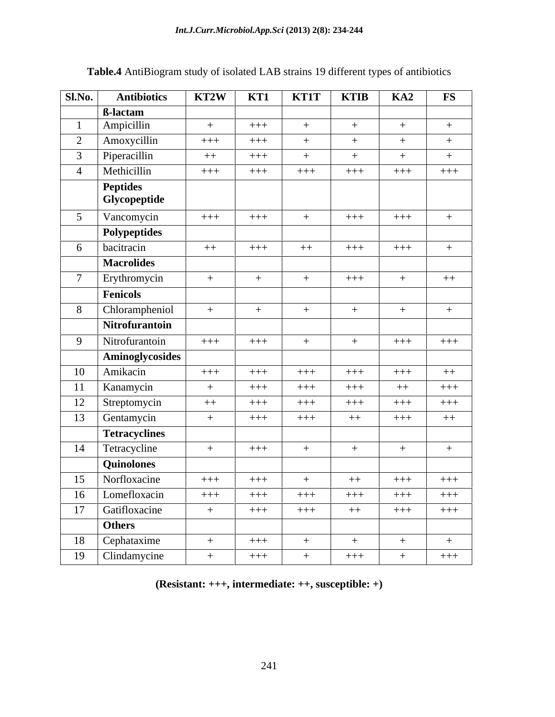| Sl.No.<br><b>Antibiotics</b>  | KT2W   | KT1   | $KT1T$   $KT1B$ |        | KA2    | <b>FS</b> |
|-------------------------------|--------|-------|-----------------|--------|--------|-----------|
| <b>B-lactam</b>               |        |       |                 |        |        |           |
| Ampicillin                    | $+$    | $+++$ |                 |        | $+$    | $+$       |
| $\gamma$<br>Amoxycillin       | $+++$  | $+++$ |                 |        | $+$    | $+$       |
| Piperacillin                  | $++$   | $+++$ |                 |        | $+$    | $+$       |
| Methicillin                   | $+++$  | $+++$ | $+++$           | $+++$  | $+++$  | $+++$     |
| <b>Peptides</b>               |        |       |                 |        |        |           |
| Glycopeptide                  |        |       |                 |        |        |           |
| Vancomycin                    | $+++$  | $+++$ |                 | $+++$  | $+++$  | $+$       |
| <b>Polypeptides</b>           |        |       |                 |        |        |           |
| bacitracin                    | $++$   | $+++$ | $++$            | $+++$  | $+++$  |           |
| <b>Macrolides</b>             |        |       |                 |        |        |           |
| Erythromycin                  | $+$    | $+$   | $+$             | $++++$ | $+$    | $++$      |
| Fenicols                      |        |       |                 |        |        |           |
| Chlorampheniol                | $^{+}$ | $+$   | $+$             |        | $+$    | $+$       |
| Nitrofurantoin                |        |       |                 |        |        |           |
| Nitrofurantoin<br>$\mathbf Q$ | $+++$  | $+++$ |                 |        | $+++$  | $+++$     |
| Aminoglycosides               |        |       |                 |        |        |           |
| 10<br>Amikacin                | $+++$  | $+++$ | $+++$           | $++++$ | $+++$  | $++$      |
| 11<br>Kanamycin               | $+$    | $+++$ | $+++$           | $+++$  | $++$   | $++++$    |
| 12<br>Streptomycin            | $++$   | $+++$ | $+++$           | $++++$ | $++++$ | $+++$     |
| 13<br>Gentamycin              | $+$    | $+++$ | $+++$           | $++$   | $+++$  | $++$      |
| <b>Tetracyclines</b>          |        |       |                 |        |        |           |
| 14<br>Tetracycline            | $+$    | $+++$ |                 |        | $+$    | $+$       |
| Quinolones                    |        |       |                 |        |        |           |
| Norfloxacine<br>15            | $+++$  | $+++$ | $+$             | $++$   | $+++$  | $+++$     |
| 16<br>Lomefloxacin            |        |       |                 |        |        |           |
| Gatifloxacine<br>17           | $+++$  | $+++$ | $+++$           | $++++$ | $+++$  | $+++$     |
| Others                        | $+$    | $+++$ | $+++$           | $++$   | $+++$  | $++++$    |
| Cephataxime<br>18             |        | $+++$ |                 |        |        |           |
|                               | $+$    |       |                 |        | $+$    | $+$       |
| 19 Clindamycine               | $+$    | $+++$ |                 | $+++$  | $+$    | $+++$     |

## **Table.4** AntiBiogram study of isolated LAB strains 19 different types of antibiotics

**(Resistant: +++, intermediate: ++, susceptible: +)**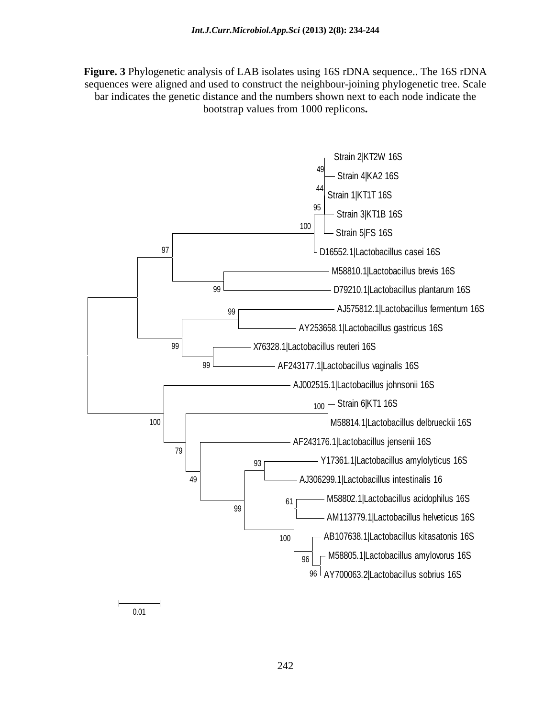**Figure. 3** Phylogenetic analysis of LAB isolates using 16S rDNA sequence.. The 16S rDNA sequences were aligned and used to construct the neighbour-joining phylogenetic tree. Scale bar indicates the genetic distance and the numbers shown next to each node indicate the bootstrap values from 1000 replicons**.**



0.01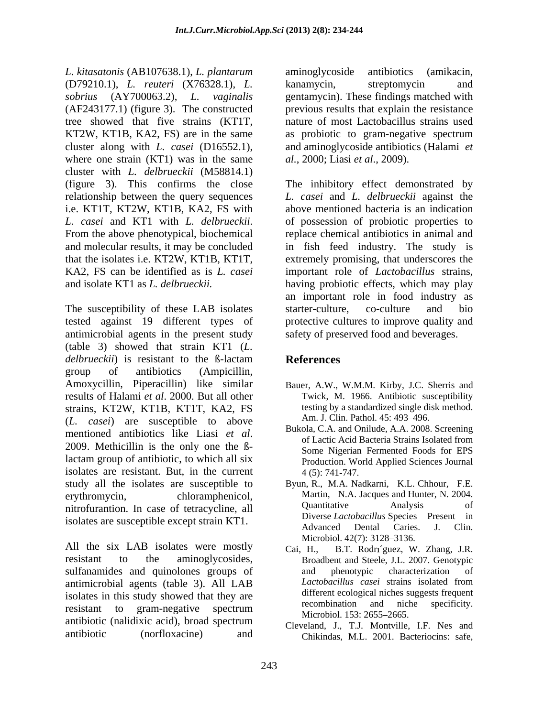*L. kitasatonis* (AB107638.1), *L. plantarum* (D79210.1), *L. reuteri* (X76328.1), *L. sobrius* (AY700063.2), *L. vaginalis* gentamycin). These findings matched with (AF243177.1) (figure 3). The constructed previous results that explain the resistance tree showed that five strains (KT1T, KT2W, KT1B, KA2, FS) are in the same cluster along with *L. casei* (D16552.1), and aminoglycoside antibiotics (Halami *et*  where one strain (KT1) was in the same cluster with *L. delbrueckii* (M58814.1) (figure 3). This confirms the close The inhibitory effect demonstrated by relationship between the query sequences i.e. KT1T, KT2W, KT1B, KA2, FS with above mentioned bacteria is an indication *L. casei* and KT1 with *L. delbrueckii.* of possession of probiotic properties to From the above phenotypical, biochemical replace chemical antibiotics in animal and and molecular results, it may be concluded in fish feed industry. The study is that the isolates i.e. KT2W, KT1B, KT1T, extremely promising, that underscores the KA2, FS can be identified as is *L. casei*  important role of *Lactobacillus* strains, and isolate KT1 as *L. delbrueckii.*  having probiotic effects, which may play

The susceptibility of these LAB isolates starter-culture, co-culture and bio tested against 19 different types of protective cultures to improve quality and antimicrobial agents in the present study (table 3) showed that strain KT1 (*L. delbrueckii*) is resistant to the ß-lactam group of antibiotics (Ampicillin, Amoxycillin, Piperacillin) like similar results of Halami *et al*. 2000. But all other strains, KT2W, KT1B, KT1T, KA2, FS (*L. casei*) are susceptible to above mentioned antibiotics like Liasi *et al*.<br>
2009. Methicillin is the only one the B-<br>
2009. Methicillin is the only one the B-<br>
2009. Methicillin is the only one the B-<br>
2009. Methicillin is the only one the Blactam group of antibiotic, to which all six isolates are resistant. But, in the current  $4(5)$ : 741-747. study all the isolates are susceptible to erythromycin, chloramphenicol, Martin, N.A. Jacques and Hunter, N. 2004. nitrofurantion. In case of tetracycline, all **Quantitative** Analysis of

All the six LAB isolates were mostly<br>
Cai, H., B.T. Rodríguez, W resistant to the aminoglycosides, Broadbent and Steele, J.L. 2007. Genotypic sulfanamides and quinolones groups of and phenotypic characterization of antimicrobial agents (table 3) All LAR *Lactobacillus casei* strains isolated from antimicrobial agents (table 3). All LAB isolates in this study showed that they are<br>
isolates in this study showed that they are<br>
isolated that they are different ecological niches suggests frequent<br>
isolates the specificity. resistant to gram-negative spectrum<br>Mismbial 152, 2655, 2665 antibiotic (nalidixic acid), broad spectrum<br> $C_{\text{leveland}}$   $I$   $T I$  Montville  $I F$  Nes and

aminoglycoside antibiotics (amikacin, kanamycin, streptomycin and nature of most Lactobacillus strains used as probiotic to gram-negative spectrum *al.*, 2000; Liasi *et al*., 2009).

*L. casei* and *L. delbrueckii* against the of possession of probiotic properties to replace chemical antibiotics in animal and an important role in food industry as starter-culture, co-culture and bio safety of preserved food and beverages.

## **References**

- Bauer, A.W., W.M.M. Kirby, J.C. Sherris and Twick, M. 1966. Antibiotic susceptibility testing by a standardized single disk method. Am. J. Clin. Pathol. 45: 493-496.
- Bukola, C.A. and Onilude, A.A. 2008. Screening of Lactic Acid Bacteria Strains Isolated from Some Nigerian Fermented Foods for EPS Production. World Applied Sciences Journal 4 (5): 741-747.
- isolates are susceptible except strain KT1.<br>Advanced Dental Caries. J. Clin. Byun, R., M.A. Nadkarni, K.L. Chhour, F.E. Quantitative Analysis of Diverse *Lactobacillus* Species Present in Advanced Dental Caries. J. Clin. Microbiol. 42(7): 3128–3136.
	- B.T. Rodri'guez, W. Zhang, J.R. and phenotypic characterization of *Lactobacillus casei* strains isolated from different ecological niches suggests frequent recombination and niche specificity. Microbiol. 153: 2655–2665.
- antibiotic (norfloxacine) and Chikindas, M.L. 2001. Bacteriocins: safe,Cleveland, J., T.J. Montville, I.F. Nes and